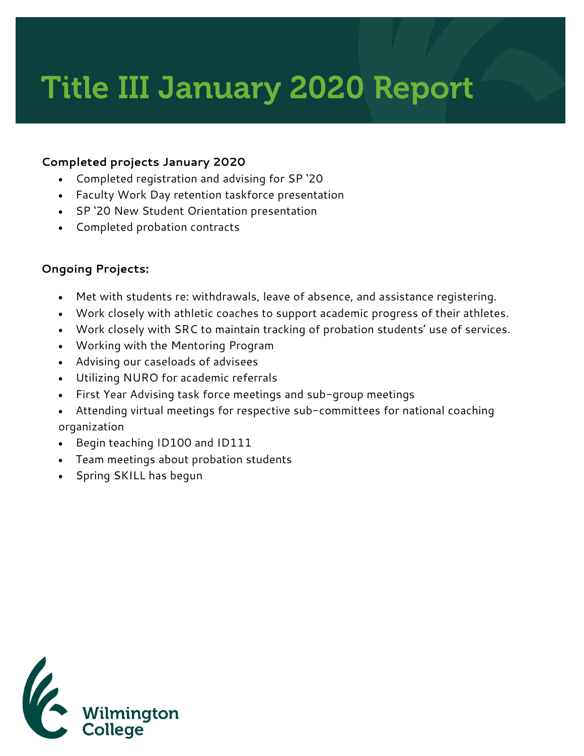# Title III January 2020 Report

## **Completed projects January 2020**

- Completed registration and advising for SP '20
- Faculty Work Day retention taskforce presentation
- SP '20 New Student Orientation presentation
- Completed probation contracts

#### **Ongoing Projects:**

- Met with students re: withdrawals, leave of absence, and assistance registering.
- Work closely with athletic coaches to support academic progress of their athletes.
- Work closely with SRC to maintain tracking of probation students' use of services.
- Working with the Mentoring Program
- Advising our caseloads of advisees
- Utilizing NURO for academic referrals
- First Year Advising task force meetings and sub-group meetings
- Attending virtual meetings for respective sub-committees for national coaching organization
- Begin teaching ID100 and ID111
- Team meetings about probation students
- Spring SKILL has begun

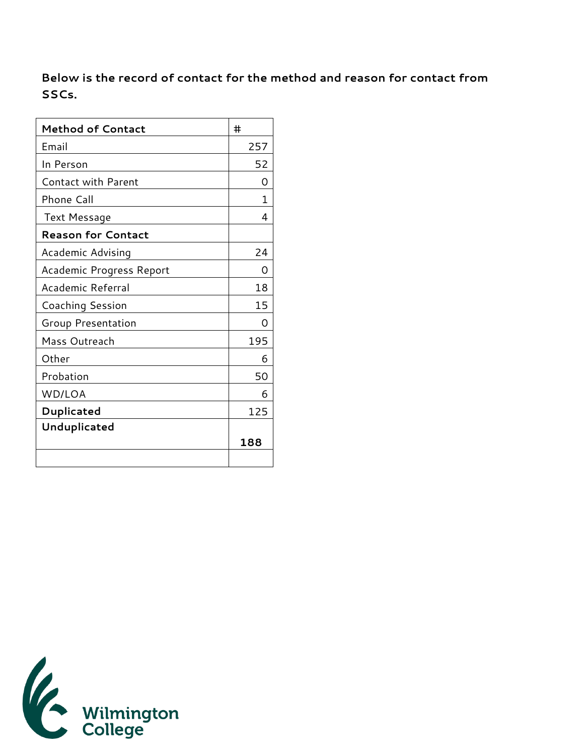**Below is the record of contact for the method and reason for contact from SSCs.** 

| <b>Method of Contact</b>   | #   |
|----------------------------|-----|
| Email                      | 257 |
| In Person                  | 52  |
| <b>Contact with Parent</b> | Ω   |
| Phone Call                 | 1   |
| Text Message               | 4   |
| <b>Reason for Contact</b>  |     |
| Academic Advising          | 24  |
| Academic Progress Report   | O)  |
| Academic Referral          | 18  |
| <b>Coaching Session</b>    | 15  |
| Group Presentation         | O   |
| Mass Outreach              | 195 |
| Other                      | 6   |
| Probation                  | 50  |
| WD/LOA                     | 6   |
| Duplicated                 | 125 |
| Unduplicated               |     |
|                            | 188 |
|                            |     |